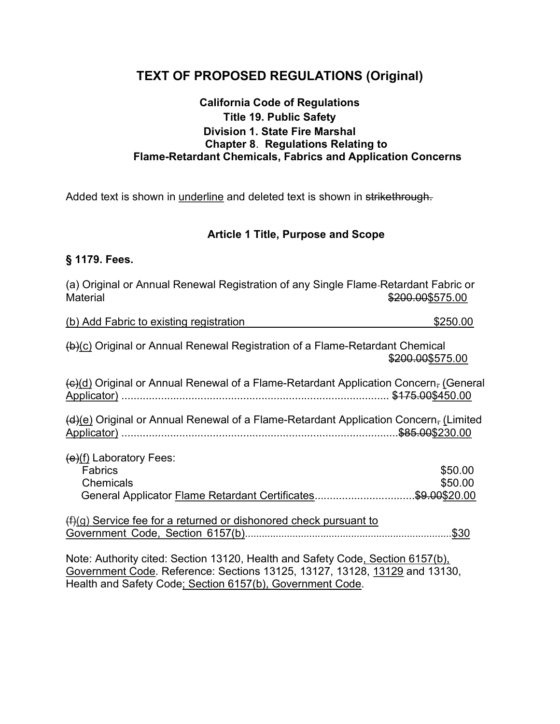# TEXT OF PROPOSED REGULATIONS (Original)

#### California Code of Regulations Title 19. Public Safety Division 1. State Fire Marshal Chapter 8. Regulations Relating to Flame-Retardant Chemicals, Fabrics and Application Concerns

Added text is shown in underline and deleted text is shown in strikethrough.

#### Article 1 Title, Purpose and Scope

#### § 1179. Fees.

| (a) Original or Annual Renewal Registration of any Single Flame-Retardant Fabric or<br><b>Material</b>                                                       | \$200.00\$575.00   |
|--------------------------------------------------------------------------------------------------------------------------------------------------------------|--------------------|
| (b) Add Fabric to existing registration                                                                                                                      | \$250.00           |
| (b)(c) Original or Annual Renewal Registration of a Flame-Retardant Chemical                                                                                 | \$200.00\$575.00   |
| $\left(\frac{c}{d}\right)$ Original or Annual Renewal of a Flame-Retardant Application Concern, (General                                                     |                    |
| $(d)(e)$ Original or Annual Renewal of a Flame-Retardant Application Concern, (Limited                                                                       |                    |
| $(e)(f)$ Laboratory Fees:<br><b>Fabrics</b><br><b>Chemicals</b><br>General Applicator Flame Retardant Certificates\$9.00\$20.00                              | \$50.00<br>\$50.00 |
| $(f)(g)$ Service fee for a returned or dishonored check pursuant to                                                                                          | .\$30              |
| Note: Authority cited: Section 13120, Health and Safety Code, Section 6157(b),<br>Government Code. Reference: Sections 13125, 13127, 13128, 13129 and 13130, |                    |

Health and Safety Code; Section 6157(b), Government Code.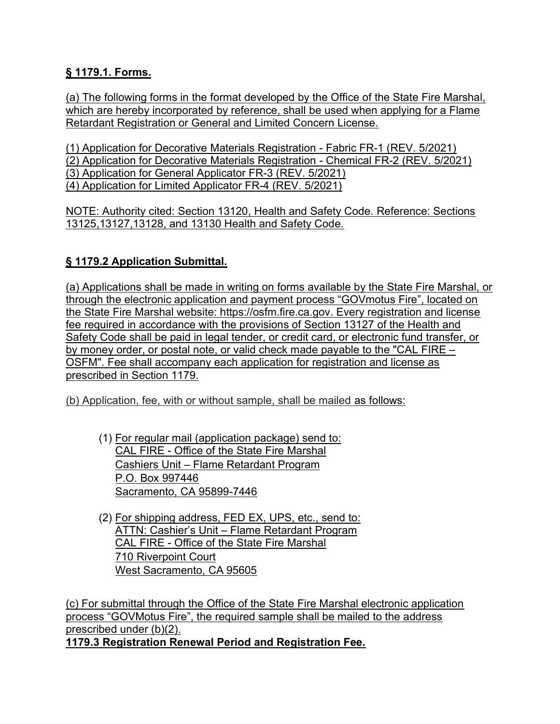### § 1179.1. Forms.

(a) The following forms in the format developed by the Office of the State Fire Marshal, which are hereby incorporated by reference, shall be used when applying for a Flame Retardant Registration or General and Limited Concern License.

(1) Application for Decorative Materials Registration - Fabric FR-1 (REV. 5/2021) (2) Application for Decorative Materials Registration - Chemical FR-2 (REV. 5/2021) (3) Application for General Applicator FR-3 (REV. 5/2021) (4) Application for Limited Applicator FR-4 (REV. 5/2021)

NOTE: Authority cited: Section 13120, Health and Safety Code. Reference: Sections 13125,13127,13128, and 13130 Health and Safety Code.

## § 1179.2 Application Submittal.

(a) Applications shall be made in writing on forms available by the State Fire Marshal, or through the electronic application and payment process "GOVmotus Fire", located on the State Fire Marshal website: https://osfm.fire.ca.gov. Every registration and license fee required in accordance with the provisions of Section 13127 of the Health and Safety Code shall be paid in legal tender, or credit card, or electronic fund transfer, or by money order, or postal note, or valid check made payable to the "CAL FIRE – OSFM". Fee shall accompany each application for registration and license as prescribed in Section 1179.

(b) Application, fee, with or without sample, shall be mailed as follows:

- (1) For regular mail (application package) send to: CAL FIRE - Office of the State Fire Marshal Cashiers Unit – Flame Retardant Program P.O. Box 997446 Sacramento, CA 95899-7446
- (2) For shipping address, FED EX, UPS, etc., send to: ATTN: Cashier's Unit – Flame Retardant Program CAL FIRE - Office of the State Fire Marshal 710 Riverpoint Court West Sacramento, CA 95605

(c) For submittal through the Office of the State Fire Marshal electronic application process "GOVMotus Fire", the required sample shall be mailed to the address prescribed under (b)(2). 1179.3 Registration Renewal Period and Registration Fee.